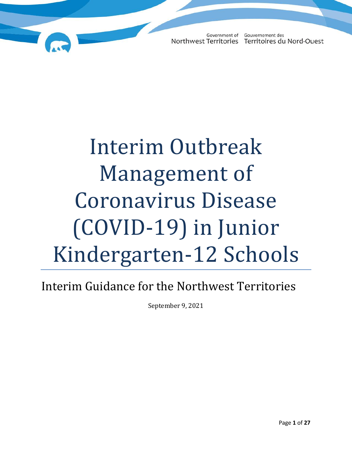# Interim Outbreak Management of Coronavirus Disease (COVID-19) in Junior Kindergarten-12 Schools

### Interim Guidance for the Northwest Territories

September 9, 2021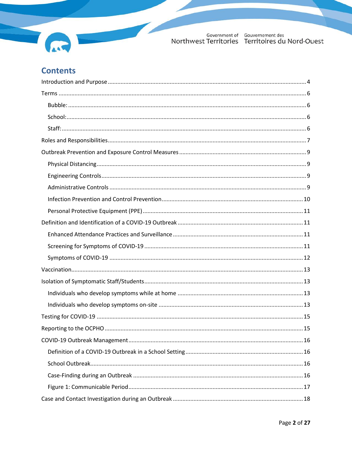

### **Contents**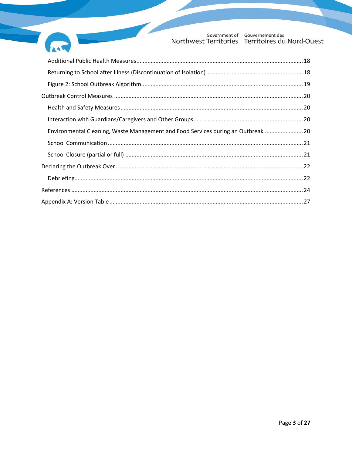

| Environmental Cleaning, Waste Management and Food Services during an Outbreak  20 |
|-----------------------------------------------------------------------------------|
|                                                                                   |
|                                                                                   |
|                                                                                   |
|                                                                                   |
|                                                                                   |
|                                                                                   |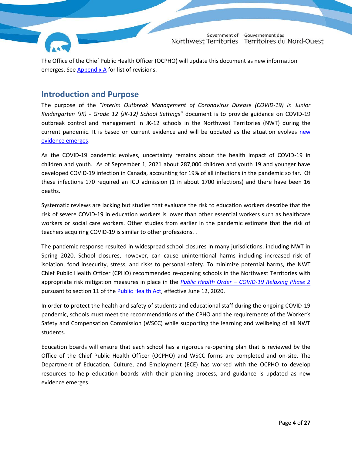

The Office of the Chief Public Health Officer (OCPHO) will update this document as new information emerges. See [Appendix A](#page-26-0) for list of revisions.

#### <span id="page-3-0"></span>**Introduction and Purpose**

The purpose of the *"Interim Outbreak Management of Coronavirus Disease (COVID-19) in Junior Kindergarten (JK) - Grade 12 (JK-12) School Settings"* document is to provide guidance on COVID-19 outbreak control and management in JK-12 schools in the Northwest Territories (NWT) during the current pandemic. It is based on current evidence and will be updated as the situation evolves [new](https://www.gov.nt.ca/covid-19/en/cpho-backgrounder-coronavirus-disease-covid-19-children-and-re-opening-schools)  [evidence emerges.](https://www.gov.nt.ca/covid-19/en/cpho-backgrounder-coronavirus-disease-covid-19-children-and-re-opening-schools)

As the COVID-19 pandemic evolves, uncertainty remains about the health impact of COVID-19 in children and youth. As of September 1, 2021 about 287,000 children and youth 19 and younger have developed COVID-19 infection in Canada, accounting for 19% of all infections in the pandemic so far. Of these infections 170 required an ICU admission (1 in about 1700 infections) and there have been 16 deaths.

Systematic reviews are lacking but studies that evaluate the risk to education workers describe that the risk of severe COVID-19 in education workers is lower than other essential workers such as healthcare workers or social care workers. Other studies from earlier in the pandemic estimate that the risk of teachers acquiring COVID-19 is similar to other professions. .

The pandemic response resulted in widespread school closures in many jurisdictions, including NWT in Spring 2020. School closures, however, can cause unintentional harms including increased risk of isolation, food insecurity, stress, and risks to personal safety. To minimize potential harms, the NWT Chief Public Health Officer (CPHO) recommended re-opening schools in the Northwest Territories with appropriate risk mitigation measures in place in the *Public Health Order – [COVID-19 Relaxing Phase 2](https://www.gov.nt.ca/covid-19/sites/covid/files/resources/public-health-order-covid-19-relaxing-phase-2-june-12-2020.pdf)* pursuant to section 11 of the [Public Health Act,](https://www.justice.gov.nt.ca/en/files/legislation/public-health/public-health.a.pdf) effective June 12, 2020.

In order to protect the health and safety of students and educational staff during the ongoing COVID-19 pandemic, schools must meet the recommendations of the CPHO and the requirements of the Worker's Safety and Compensation Commission (WSCC) while supporting the learning and wellbeing of all NWT students.

Education boards will ensure that each school has a rigorous re-opening plan that is reviewed by the Office of the Chief Public Health Officer (OCPHO) and WSCC forms are completed and on-site. The Department of Education, Culture, and Employment (ECE) has worked with the OCPHO to develop resources to help education boards with their planning process, and guidance is updated as new evidence emerges.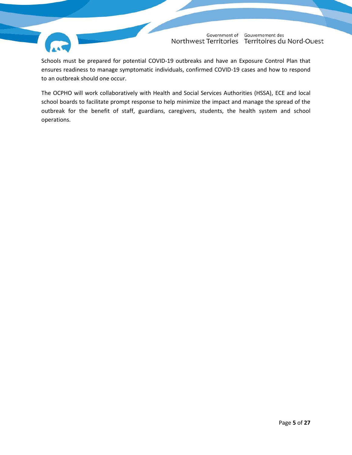

Schools must be prepared for potential COVID-19 outbreaks and have an Exposure Control Plan that ensures readiness to manage symptomatic individuals, confirmed COVID-19 cases and how to respond to an outbreak should one occur.

The OCPHO will work collaboratively with Health and Social Services Authorities (HSSA), ECE and local school boards to facilitate prompt response to help minimize the impact and manage the spread of the outbreak for the benefit of staff, guardians, caregivers, students, the health system and school operations.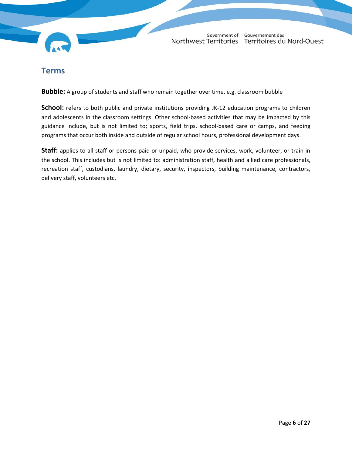

#### <span id="page-5-0"></span>**Terms**

<span id="page-5-1"></span>**Bubble:** A group of students and staff who remain together over time, e.g. classroom bubble

<span id="page-5-2"></span>**School:** refers to both public and private institutions providing JK-12 education programs to children and adolescents in the classroom settings. Other school-based activities that may be impacted by this guidance include, but is not limited to; sports, field trips, school-based care or camps, and feeding programs that occur both inside and outside of regular school hours, professional development days.

<span id="page-5-3"></span>**Staff:** applies to all staff or persons paid or unpaid, who provide services, work, volunteer, or train in the school. This includes but is not limited to: administration staff, health and allied care professionals, recreation staff, custodians, laundry, dietary, security, inspectors, building maintenance, contractors, delivery staff, volunteers etc.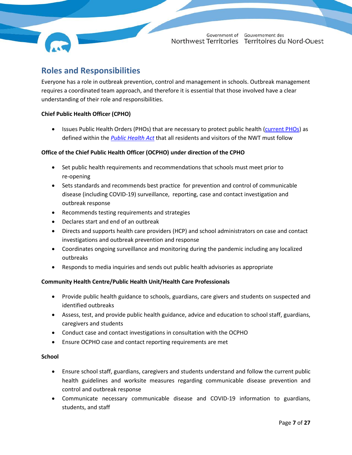#### <span id="page-6-0"></span>**Roles and Responsibilities**

Everyone has a role in outbreak prevention, control and management in schools. Outbreak management requires a coordinated team approach, and therefore it is essential that those involved have a clear understanding of their role and responsibilities.

#### **Chief Public Health Officer (CPHO)**

• Issues Public Health Orders (PHOs) that are necessary to protect public health [\(current PHOs\)](https://www.gov.nt.ca/covid-19/en/public-health-orders) as defined within the *[Public Health Act](https://www.justice.gov.nt.ca/en/files/legislation/public-health/public-health.a.pdf)* that all residents and visitors of the NWT must follow

#### **Office of the Chief Public Health Officer (OCPHO) under direction of the CPHO**

- Set public health requirements and recommendations that schools must meet prior to re-opening
- Sets standards and recommends best practice for prevention and control of communicable disease (including COVID-19) surveillance, reporting, case and contact investigation and outbreak response
- Recommends testing requirements and strategies
- Declares start and end of an outbreak
- Directs and supports health care providers (HCP) and school administrators on case and contact investigations and outbreak prevention and response
- Coordinates ongoing surveillance and monitoring during the pandemic including any localized outbreaks
- Responds to media inquiries and sends out public health advisories as appropriate

#### **Community Health Centre/Public Health Unit/Health Care Professionals**

- Provide public health guidance to schools, guardians, care givers and students on suspected and identified outbreaks
- Assess, test, and provide public health guidance, advice and education to school staff, guardians, caregivers and students
- Conduct case and contact investigations in consultation with the OCPHO
- Ensure OCPHO case and contact reporting requirements are met

#### **School**

- Ensure school staff, guardians, caregivers and students understand and follow the current public health guidelines and worksite measures regarding communicable disease prevention and control and outbreak response
- Communicate necessary communicable disease and COVID-19 information to guardians, students, and staff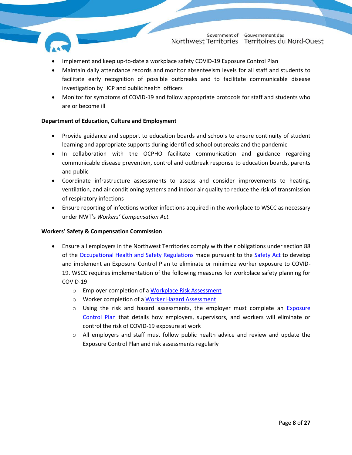

- Implement and keep up-to-date a workplace safety COVID-19 Exposure Control Plan
- Maintain daily attendance records and monitor absenteeism levels for all staff and students to facilitate early recognition of possible outbreaks and to facilitate communicable disease investigation by HCP and public health officers
- Monitor for symptoms of COVID-19 and follow appropriate protocols for staff and students who are or become ill

#### **Department of Education, Culture and Employment**

- Provide guidance and support to education boards and schools to ensure continuity of student learning and appropriate supports during identified school outbreaks and the pandemic
- In collaboration with the OCPHO facilitate communication and guidance regarding communicable disease prevention, control and outbreak response to education boards, parents and public
- Coordinate infrastructure assessments to assess and consider improvements to heating, ventilation, and air conditioning systems and indoor air quality to reduce the risk of transmission of respiratory infections
- Ensure reporting of infections worker infections acquired in the workplace to WSCC as necessary under NWT's *Workers' Compensation Act.*

#### **Workers' Safety & Compensation Commission**

- Ensure all employers in the Northwest Territories comply with their obligations under section 88 of the [Occupational Health and Safety Regulations](https://www.wscc.nt.ca/sites/default/files/documents/NEW%20OHS%20REGS.pdf) made pursuant to the [Safety Act](https://www.justice.gov.nt.ca/en/files/legislation/safety/safety.a.pdf) to develop and implement an Exposure Control Plan to eliminate or minimize worker exposure to COVID-19. WSCC requires implementation of the following measures for workplace safety planning for COVID-19:
	- o Employer completion of [a Workplace Risk Assessment](https://www.wscc.nt.ca/sites/default/files/documents/COVID-19%20Workplace%20Risk%20Assessment%20-%20EN.pdf)
	- o Worker completion of a [Worker Hazard Assessment](https://www.wscc.nt.ca/sites/default/files/documents/COVID-19%20Worker%20Hazard%20Assessment%20-%20EN%20fillable.pdf)
	- o Using the risk and hazard assessments, the employer must complete an Exposure [Control Plan](https://www.wscc.nt.ca/sites/default/files/documents/Exposure%20Control%20Plan%20Guide-May%202020-Eng.pdf) that details how employers, supervisors, and workers will eliminate or control the risk of COVID-19 exposure at work
	- o All employers and staff must follow public health advice and review and update the Exposure Control Plan and risk assessments regularly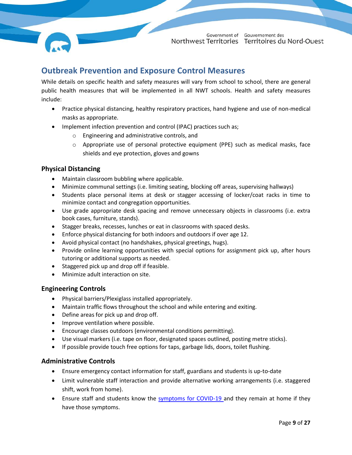#### <span id="page-8-0"></span>**Outbreak Prevention and Exposure Control Measures**

While details on specific health and safety measures will vary from school to school, there are general public health measures that will be implemented in all NWT schools. Health and safety measures include:

- Practice physical distancing, healthy respiratory practices, hand hygiene and use of non-medical masks as appropriate.
- Implement infection prevention and control (IPAC) practices such as;
	- o Engineering and administrative controls, and
	- $\circ$  Appropriate use of personal protective equipment (PPE) such as medical masks, face shields and eye protection, gloves and gowns

#### <span id="page-8-1"></span>**Physical Distancing**

- Maintain classroom bubbling where applicable.
- Minimize communal settings (i.e. limiting seating, blocking off areas, supervising hallways)
- Students place personal items at desk or stagger accessing of locker/coat racks in time to minimize contact and congregation opportunities.
- Use grade appropriate desk spacing and remove unnecessary objects in classrooms (i.e. extra book cases, furniture, stands).
- Stagger breaks, recesses, lunches or eat in classrooms with spaced desks.
- Enforce physical distancing for both indoors and outdoors if over age 12.
- Avoid physical contact (no handshakes, physical greetings, hugs).
- Provide online learning opportunities with special options for assignment pick up, after hours tutoring or additional supports as needed.
- Staggered pick up and drop off if feasible.
- Minimize adult interaction on site.

#### <span id="page-8-2"></span>**Engineering Controls**

- Physical barriers/Plexiglass installed appropriately.
- Maintain traffic flows throughout the school and while entering and exiting.
- Define areas for pick up and drop off.
- Improve ventilation where possible.
- Encourage classes outdoors (environmental conditions permitting).
- Use visual markers (i.e. tape on floor, designated spaces outlined, posting metre sticks).
- If possible provide touch free options for taps, garbage lids, doors, toilet flushing.

#### <span id="page-8-3"></span>**Administrative Controls**

- Ensure emergency contact information for staff, guardians and students is up-to-date
- Limit vulnerable staff interaction and provide alternative working arrangements (i.e. staggered shift, work from home).
- Ensure staff and students know the [symptoms for COVID-19 a](https://www.gov.nt.ca/covid-19/en/services/about-covid-19/covid-19-symptoms)nd they remain at home if they have those symptoms.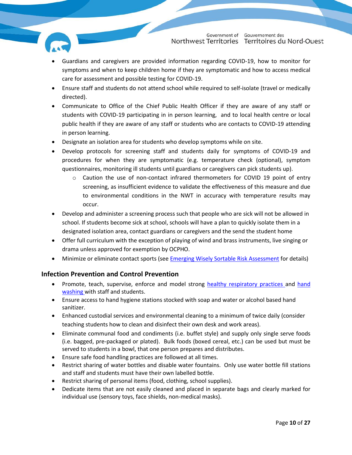

- Guardians and caregivers are provided information regarding COVID-19, how to monitor for symptoms and when to keep children home if they are symptomatic and how to access medical care for assessment and possible testing for COVID-19.
- Ensure staff and students do not attend school while required to self-isolate (travel or medically directed).
- Communicate to Office of the Chief Public Health Officer if they are aware of any staff or students with COVID-19 participating in in person learning, and to local health centre or local public health if they are aware of any staff or students who are contacts to COVID-19 attending in person learning.
- Designate an isolation area for students who develop symptoms while on site.
- Develop protocols for screening staff and students daily for symptoms of COVID-19 and procedures for when they are symptomatic (e.g. temperature check (optional), symptom questionnaires, monitoring ill students until guardians or caregivers can pick students up).
	- $\circ$  Caution the use of non-contact infrared thermometers for COVID 19 point of entry screening, as insufficient evidence to validate the effectiveness of this measure and due to environmental conditions in the NWT in accuracy with temperature results may occur.
- Develop and administer a screening process such that people who are sick will not be allowed in school. If students become sick at school, schools will have a plan to quickly isolate them in a designated isolation area, contact guardians or caregivers and the send the student home
- Offer full curriculum with the exception of playing of wind and brass instruments, live singing or drama unless approved for exemption by OCPHO.
- Minimize or eliminate contact sports (see [Emerging Wisely Sortable Risk Assessment](https://www.gov.nt.ca/covid-19/en/emerging-wisely-sortable-risk-assessment) for details)

#### <span id="page-9-0"></span>**Infection Prevention and Control Prevention**

- Promote, teach, supervise, enforce and model strong [healthy respiratory practices a](https://www.hss.gov.nt.ca/sites/hss/files/resources/healthy-respiratory-practices.pdf)nd hand [washing](https://www.hss.gov.nt.ca/sites/hss/files/resources/handwashinginfographicbig-web.pdf) with staff and students.
- Ensure access to hand hygiene stations stocked with soap and water or alcohol based hand sanitizer.
- Enhanced custodial services and environmental cleaning to a minimum of twice daily (consider teaching students how to clean and disinfect their own desk and work areas).
- Eliminate communal food and condiments (i.e. buffet style) and supply only single serve foods (i.e. bagged, pre-packaged or plated). Bulk foods (boxed cereal, etc.) can be used but must be served to students in a bowl, that one person prepares and distributes.
- Ensure safe food handling practices are followed at all times.
- Restrict sharing of water bottles and disable water fountains. Only use water bottle fill stations and staff and students must have their own labelled bottle.
- Restrict sharing of personal items (food, clothing, school supplies).
- Dedicate items that are not easily cleaned and placed in separate bags and clearly marked for individual use (sensory toys, face shields, non-medical masks).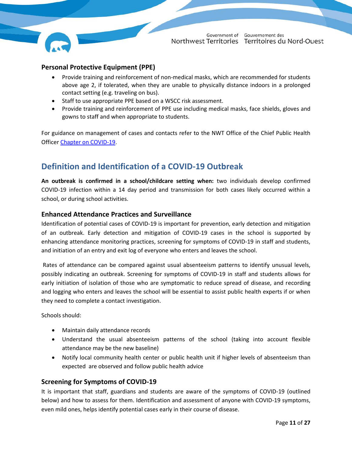

#### <span id="page-10-0"></span>**Personal Protective Equipment (PPE)**

- Provide training and reinforcement of non-medical masks, which are recommended for students above age 2, if tolerated, when they are unable to physically distance indoors in a prolonged contact setting (e.g. traveling on bus).
- Staff to use appropriate PPE based on a WSCC risk assessment.
- Provide training and reinforcement of PPE use including medical masks, face shields, gloves and gowns to staff and when appropriate to students.

For guidance on management of cases and contacts refer to the NWT Office of the Chief Public Health Officer [Chapter on COVID-19.](https://www.hss.gov.nt.ca/professionals/sites/professionals/files/resources/interim-guidance-public-health-management-cases-contacts-covid-19.pdf)

#### <span id="page-10-1"></span>**Definition and Identification of a COVID-19 Outbreak**

**An outbreak is confirmed in a school/childcare setting when:** two individuals develop confirmed COVID-19 infection within a 14 day period and transmission for both cases likely occurred within a school, or during school activities.

#### <span id="page-10-2"></span>**Enhanced Attendance Practices and Surveillance**

Identification of potential cases of COVID-19 is important for prevention, early detection and mitigation of an outbreak. Early detection and mitigation of COVID-19 cases in the school is supported by enhancing attendance monitoring practices, screening for symptoms of COVID-19 in staff and students, and initiation of an entry and exit log of everyone who enters and leaves the school.

Rates of attendance can be compared against usual absenteeism patterns to identify unusual levels, possibly indicating an outbreak. Screening for symptoms of COVID-19 in staff and students allows for early initiation of isolation of those who are symptomatic to reduce spread of disease, and recording and logging who enters and leaves the school will be essential to assist public health experts if or when they need to complete a contact investigation.

Schools should:

- Maintain daily attendance records
- Understand the usual absenteeism patterns of the school (taking into account flexible attendance may be the new baseline)
- Notify local community health center or public health unit if higher levels of absenteeism than expected are observed and follow public health advice

#### <span id="page-10-3"></span>**Screening for Symptoms of COVID-19**

It is important that staff, guardians and students are aware of the symptoms of COVID-19 (outlined below) and how to assess for them. Identification and assessment of anyone with COVID-19 symptoms, even mild ones, helps identify potential cases early in their course of disease.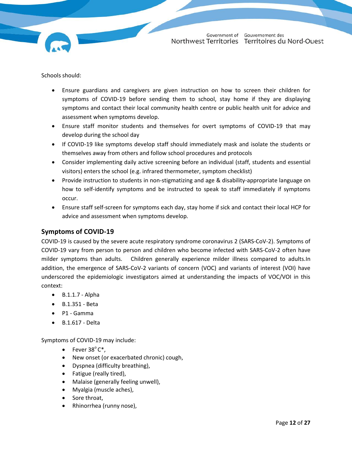Schools should:

- Ensure guardians and caregivers are given instruction on how to screen their children for symptoms of COVID-19 before sending them to school, stay home if they are displaying symptoms and contact their local community health centre or public health unit for advice and assessment when symptoms develop.
- Ensure staff monitor students and themselves for overt symptoms of COVID-19 that may develop during the school day
- If COVID-19 like symptoms develop staff should immediately mask and isolate the students or themselves away from others and follow school procedures and protocols
- Consider implementing daily active screening before an individual (staff, students and essential visitors) enters the school (e.g. infrared thermometer, symptom checklist)
- Provide instruction to students in non-stigmatizing and age & disability-appropriate language on how to self-identify symptoms and be instructed to speak to staff immediately if symptoms occur.
- Ensure staff self-screen for symptoms each day, stay home if sick and contact their local HCP for advice and assessment when symptoms develop.

#### <span id="page-11-0"></span>**Symptoms of COVID-19**

COVID-19 is caused by the severe acute respiratory syndrome coronavirus 2 (SARS-CoV-2). Symptoms of COVID-19 vary from person to person and children who become infected with SARS-CoV-2 often have milder symptoms than adults. Children generally experience milder illness compared to adults.In addition, the emergence of SARS-CoV-2 variants of concern (VOC) and variants of interest (VOI) have underscored the epidemiologic investigators aimed at understanding the impacts of VOC/VOI in this context:

- $\bullet$  B.1.1.7 Alpha
- B.1.351 Beta
- P1 Gamma
- B.1.617 Delta

Symptoms of COVID-19 may include:

- Fever  $38^{\circ}$  C<sup>\*</sup>,
- New onset (or exacerbated chronic) cough,
- Dyspnea (difficulty breathing),
- Fatigue (really tired),
- Malaise (generally feeling unwell),
- Myalgia (muscle aches),
- Sore throat,
- Rhinorrhea (runny nose),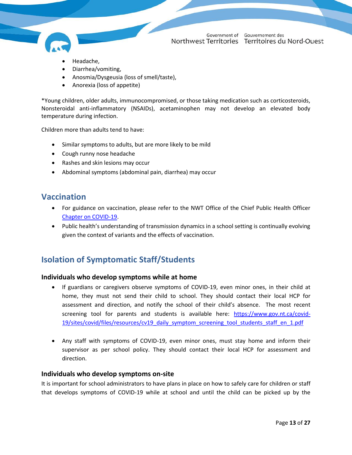- Headache,
- Diarrhea/vomiting,
- Anosmia/Dysgeusia (loss of smell/taste),
- Anorexia (loss of appetite)

\*Young children, older adults, immunocompromised, or those taking medication such as corticosteroids, Nonsteroidal anti-inflammatory (NSAIDs), acetaminophen may not develop an elevated body temperature during infection.

Children more than adults tend to have:

- Similar symptoms to adults, but are more likely to be mild
- Cough runny nose headache
- Rashes and skin lesions may occur
- Abdominal symptoms (abdominal pain, diarrhea) may occur

#### <span id="page-12-0"></span>**Vaccination**

- For guidance on vaccination, please refer to the NWT Office of the Chief Public Health Officer [Chapter on COVID-19.](https://www.hss.gov.nt.ca/professionals/sites/professionals/files/resources/interim-guidance-public-health-management-cases-contacts-covid-19.pdf)
- Public health's understanding of transmission dynamics in a school setting is continually evolving given the context of variants and the effects of vaccination.

#### <span id="page-12-1"></span>**Isolation of Symptomatic Staff/Students**

#### <span id="page-12-2"></span>**Individuals who develop symptoms while at home**

- If guardians or caregivers observe symptoms of COVID-19, even minor ones, in their child at home, they must not send their child to school. They should contact their local HCP for assessment and direction, and notify the school of their child's absence. The most recent screening tool for parents and students is available here: [https://www.gov.nt.ca/covid-](https://www.gov.nt.ca/covid-19/sites/covid/files/resources/cv19_daily_symptom_screening_tool_students_staff_en_1.pdf)[19/sites/covid/files/resources/cv19\\_daily\\_symptom\\_screening\\_tool\\_students\\_staff\\_en\\_1.pdf](https://www.gov.nt.ca/covid-19/sites/covid/files/resources/cv19_daily_symptom_screening_tool_students_staff_en_1.pdf)
- Any staff with symptoms of COVID-19, even minor ones, must stay home and inform their supervisor as per school policy. They should contact their local HCP for assessment and direction.

#### <span id="page-12-3"></span>**Individuals who develop symptoms on-site**

It is important for school administrators to have plans in place on how to safely care for children or staff that develops symptoms of COVID-19 while at school and until the child can be picked up by the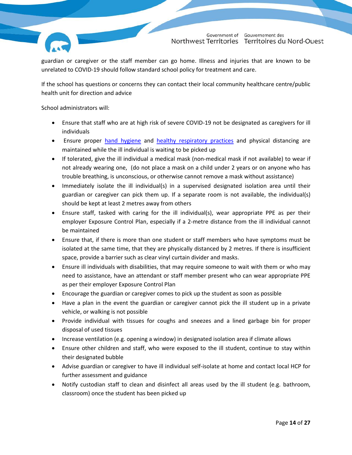

guardian or caregiver or the staff member can go home. Illness and injuries that are known to be unrelated to COVID-19 should follow standard school policy for treatment and care.

If the school has questions or concerns they can contact their local community healthcare centre/public health unit for direction and advice

School administrators will:

- Ensure that staff who are at high risk of severe COVID-19 not be designated as caregivers for ill individuals
- **Ensure proper [hand hygiene](https://www.hss.gov.nt.ca/sites/hss/files/resources/handwashinginfographicbig-web.pdf) and [healthy respiratory practices](https://www.gov.nt.ca/covid-19/node/431) and physical distancing are** maintained while the ill individual is waiting to be picked up
- If tolerated, give the ill individual a medical mask (non-medical mask if not available) to wear if not already wearing one, (do not place a mask on a child under 2 years or on anyone who has trouble breathing, is unconscious, or otherwise cannot remove a mask without assistance)
- Immediately isolate the ill individual(s) in a supervised designated isolation area until their guardian or caregiver can pick them up. If a separate room is not available, the individual(s) should be kept at least 2 metres away from others
- Ensure staff, tasked with caring for the ill individual(s), wear appropriate PPE as per their employer Exposure Control Plan, especially if a 2-metre distance from the ill individual cannot be maintained
- Ensure that, if there is more than one student or staff members who have symptoms must be isolated at the same time, that they are physically distanced by 2 metres. If there is insufficient space, provide a barrier such as clear vinyl curtain divider and masks.
- Ensure ill individuals with disabilities, that may require someone to wait with them or who may need to assistance, have an attendant or staff member present who can wear appropriate PPE as per their employer Exposure Control Plan
- Encourage the guardian or caregiver comes to pick up the student as soon as possible
- Have a plan in the event the guardian or caregiver cannot pick the ill student up in a private vehicle, or walking is not possible
- Provide individual with tissues for coughs and sneezes and a lined garbage bin for proper disposal of used tissues
- Increase ventilation (e.g. opening a window) in designated isolation area if climate allows
- Ensure other children and staff, who were exposed to the ill student, continue to stay within their designated bubble
- Advise guardian or caregiver to have ill individual self-isolate at home and contact local HCP for further assessment and guidance
- Notify custodian staff to clean and disinfect all areas used by the ill student (e.g. bathroom, classroom) once the student has been picked up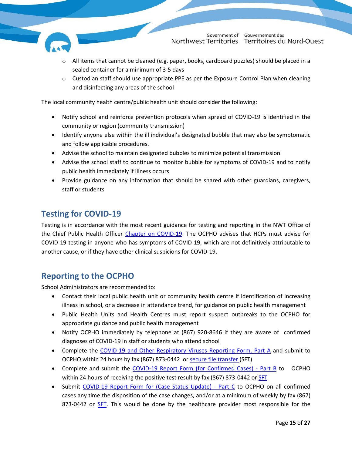

- $\circ$  All items that cannot be cleaned (e.g. paper, books, cardboard puzzles) should be placed in a sealed container for a minimum of 3-5 days
- o Custodian staff should use appropriate PPE as per the Exposure Control Plan when cleaning and disinfecting any areas of the school

The local community health centre/public health unit should consider the following:

- Notify school and reinforce prevention protocols when spread of COVID-19 is identified in the community or region (community transmission)
- Identify anyone else within the ill individual's designated bubble that may also be symptomatic and follow applicable procedures.
- Advise the school to maintain designated bubbles to minimize potential transmission
- Advise the school staff to continue to monitor bubble for symptoms of COVID-19 and to notify public health immediately if illness occurs
- Provide guidance on any information that should be shared with other guardians, caregivers, staff or students

#### <span id="page-14-0"></span>**Testing for COVID-19**

Testing is in accordance with the most recent guidance for testing and reporting in the NWT Office of the Chief Public Health Officer [Chapter on COVID-19.](https://www.hss.gov.nt.ca/professionals/sites/professionals/files/resources/interim-guidance-public-health-management-cases-contacts-covid-19.pdf) The OCPHO advises that HCPs must advise for COVID-19 testing in anyone who has symptoms of COVID-19, which are not definitively attributable to another cause, or if they have other clinical suspicions for COVID-19.

#### <span id="page-14-1"></span>**Reporting to the OCPHO**

School Administrators are recommended to:

- Contact their local public health unit or community health centre if identification of increasing illness in school, or a decrease in attendance trend, for guidance on public health management
- Public Health Units and Health Centres must report suspect outbreaks to the OCPHO for appropriate guidance and public health management
- Notify OCPHO immediately by telephone at (867) 920-8646 if they are aware of confirmed diagnoses of COVID-19 in staff or students who attend school
- Complete the [COVID-19 and Other Respiratory Viruses Reporting Form, Part A](https://www.hss.gov.nt.ca/professionals/en/covid-19-report-form-confirmed-cases-%E2%80%93-part) and submit to OCPHO within 24 hours by fax (867) 873-0442 or [secure file transfer \(](https://sft.gov.nt.ca/filedrop/~SXTSaO)SFT)
- Complete and submit the [COVID-19 Report Form \(for Confirmed Cases\) -](https://www.hss.gov.nt.ca/professionals/en/covid-19-report-form-confirmed-cases-%E2%80%93-part-b) Part B to OCPHO within 24 hours of receiving the positive test result by fax (867) 873-0442 o[r SFT](https://sft.gov.nt.ca/filedrop/~SXTSaO)
- Submit COVID-19 Report Form [for \(Case Status Update\) -](https://www.hss.gov.nt.ca/professionals/en/covid-19-report-form-case-status-update-%E2%80%93-part-c) Part C to OCPHO on all confirmed cases any time the disposition of the case changes, and/or at a minimum of weekly by fax (867) 873-0442 or [SFT.](https://sft.gov.nt.ca/filedrop/~SXTSaO) This would be done by the healthcare provider most responsible for the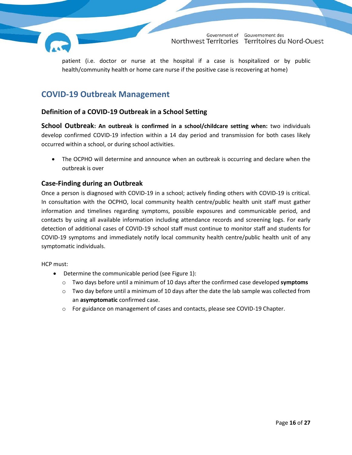

patient (i.e. doctor or nurse at the hospital if a case is hospitalized or by public health/community health or home care nurse if the positive case is recovering at home)

#### <span id="page-15-0"></span>**COVID-19 Outbreak Management**

#### <span id="page-15-1"></span>**Definition of a COVID-19 Outbreak in a School Setting**

<span id="page-15-2"></span>**School Outbreak: An outbreak is confirmed in a school/childcare setting when:** two individuals develop confirmed COVID-19 infection within a 14 day period and transmission for both cases likely occurred within a school, or during school activities.

 The OCPHO will determine and announce when an outbreak is occurring and declare when the outbreak is over

#### <span id="page-15-3"></span>**Case-Finding during an Outbreak**

Once a person is diagnosed with COVID-19 in a school; actively finding others with COVID-19 is critical. In consultation with the OCPHO, local community health centre/public health unit staff must gather information and timelines regarding symptoms, possible exposures and communicable period, and contacts by using all available information including attendance records and screening logs. For early detection of additional cases of COVID-19 school staff must continue to monitor staff and students for COVID-19 symptoms and immediately notify local community health centre/public health unit of any symptomatic individuals.

HCP must:

- Determine the communicable period (see Figure 1):
	- o Two days before until a minimum of 10 days after the confirmed case developed **symptoms**
	- $\circ$  Two day before until a minimum of 10 days after the date the lab sample was collected from an **asymptomatic** confirmed case.
	- o For guidance on management of cases and contacts, please see COVID-19 Chapter.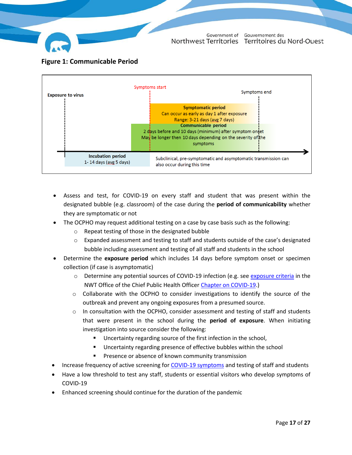

<span id="page-16-0"></span>



- Assess and test, for COVID-19 on every staff and student that was present within the designated bubble (e.g. classroom) of the case during the **period of communicability** whether they are symptomatic or not
- The OCPHO may request additional testing on a case by case basis such as the following:
	- o Repeat testing of those in the designated bubble
	- $\circ$  Expanded assessment and testing to staff and students outside of the case's designated bubble including assessment and testing of all staff and students in the school
- Determine the **exposure period** which includes 14 days before symptom onset or specimen collection (if case is asymptomatic)
	- o Determine any potential sources of COVID-19 infection (e.g. see [exposure criteria](https://www.hss.gov.nt.ca/professionals/sites/professionals/files/resources/covid-19-exposure-algorithm.pdf) in the NWT Office of the Chief Public Health Officer [Chapter on COVID-19.](https://www.hss.gov.nt.ca/professionals/sites/professionals/files/resources/interim-guidance-public-health-management-cases-contacts-covid-19.pdf))
	- o Collaborate with the OCPHO to consider investigations to identify the source of the outbreak and prevent any ongoing exposures from a presumed source.
	- $\circ$  In consultation with the OCPHO, consider assessment and testing of staff and students that were present in the school during the **period of exposure**. When initiating investigation into source consider the following:
		- Uncertainty regarding source of the first infection in the school,
		- Uncertainty regarding presence of effective bubbles within the school
		- Presence or absence of known community transmission
- Increase frequency of active screening for [COVID-19 symptoms](#page-11-0) and testing of staff and students
- Have a low threshold to test any staff, students or essential visitors who develop symptoms of COVID-19
- Enhanced screening should continue for the duration of the pandemic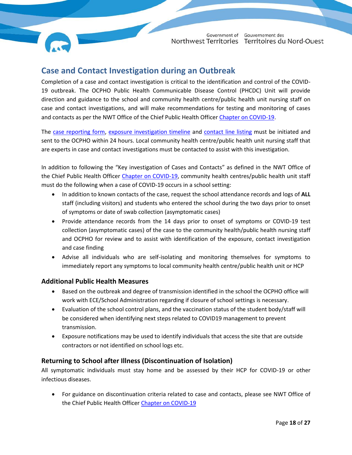

### <span id="page-17-0"></span>**Case and Contact Investigation during an Outbreak**

Completion of a case and contact investigation is critical to the identification and control of the COVID-19 outbreak. The OCPHO Public Health Communicable Disease Control (PHCDC) Unit will provide direction and guidance to the school and community health centre/public health unit nursing staff on case and contact investigations, and will make recommendations for testing and monitoring of cases and contacts as per the NWT Office of the Chief Public Health Office[r Chapter on COVID-19.](https://www.hss.gov.nt.ca/professionals/sites/professionals/files/resources/interim-guidance-public-health-management-cases-contacts-covid-19.pdf)

The [case reporting form,](https://www.hss.gov.nt.ca/professionals/en/covid-19-report-form-confirmed-cases-%E2%80%93-part-b) [exposure investigation timeline](https://www.hss.gov.nt.ca/professionals/en/covid-19-exposure-investigation-form) and [contact line listing](https://www.hss.gov.nt.ca/professionals/en/covid-19-contact-line-list-spreadsheet) must be initiated and sent to the OCPHO within 24 hours. Local community health centre/public health unit nursing staff that are experts in case and contact investigations must be contacted to assist with this investigation.

In addition to following the "Key investigation of Cases and Contacts" as defined in the NWT Office of the Chief Public Health Officer [Chapter on COVID-19,](https://www.hss.gov.nt.ca/professionals/sites/professionals/files/resources/interim-guidance-public-health-management-cases-contacts-covid-19.pdf) community health centres/public health unit staff must do the following when a case of COVID-19 occurs in a school setting:

- In addition to known contacts of the case, request the school attendance records and logs of **ALL** staff (including visitors) and students who entered the school during the two days prior to onset of symptoms or date of swab collection (asymptomatic cases)
- Provide attendance records from the 14 days prior to onset of symptoms or COVID-19 test collection (asymptomatic cases) of the case to the community health/public health nursing staff and OCPHO for review and to assist with identification of the exposure, contact investigation and case finding
- Advise all individuals who are self-isolating and monitoring themselves for symptoms to immediately report any symptoms to local community health centre/public health unit or HCP

#### <span id="page-17-1"></span>**Additional Public Health Measures**

- Based on the outbreak and degree of transmission identified in the school the OCPHO office will work with ECE/School Administration regarding if closure of school settings is necessary.
- Evaluation of the school control plans, and the vaccination status of the student body/staff will be considered when identifying next steps related to COVID19 management to prevent transmission.
- Exposure notifications may be used to identify individuals that access the site that are outside contractors or not identified on school logs etc.

#### <span id="page-17-2"></span>**Returning to School after Illness (Discontinuation of Isolation)**

All symptomatic individuals must stay home and be assessed by their HCP for COVID-19 or other infectious diseases.

 For guidance on discontinuation criteria related to case and contacts, please see NWT Office of the Chief Public Health Officer [Chapter on COVID-19](https://www.hss.gov.nt.ca/professionals/sites/professionals/files/resources/interim-guidance-public-health-management-cases-contacts-covid-19.pdf)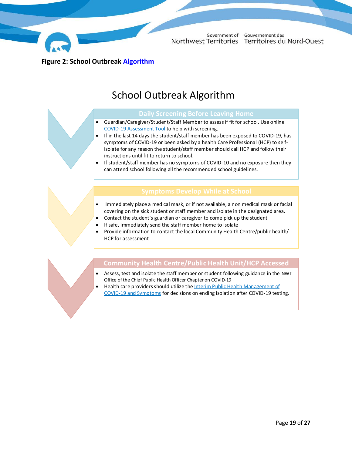

Government of

Gouvernement des Northwest Territories Territoires du Nord-Ouest

<span id="page-18-0"></span>**Figure 2: School Outbreak [Algorithm](https://www.hss.gov.nt.ca/professionals/sites/professionals/files/resources/covid-19-exposure-algorithm.pdf)**

### School Outbreak Algorithm

- Guardian/Caregiver/Student/Staff Member to assess if fit for school. Use online [COVID-19 Assessment Tool](https://www.surveymonkey.com/r/nwt-covid19-self-assessment) to help with screening.
- If in the last 14 days the student/staff member has been exposed to COVID-19, has symptoms of COVID-19 or been asked by a health Care Professional (HCP) to selfisolate for any reason the student/staff member should call HCP and follow their instructions until fit to return to school.
- If student/staff member has no symptoms of COVID-10 and no exposure then they can attend school following all the recommended school guidelines.

- Immediately place a medical mask, or if not available, a non medical mask or facial covering on the sick student or staff member and isolate in the designated area.
- Contact the student's guardian or caregiver to come pick up the student
	- If safe, immediately send the staff member home to isolate
- Provide information to contact the local Community Health Centre/public health/ HCP for assessment

#### **Community Health Centre/Public Health Unit/HCP Accessed**

- Assess, test and isolate the staff member or student following guidance in the NWT Office of the Chief Public Health Officer Chapter on COVID-19
- Health care providers should utilize the Interim Public Health Management of [COVID-19 and Symptoms](https://www.hss.gov.nt.ca/professionals/sites/professionals/files/resources/covid-19-exposure-algorithm.pdf) for decisions on ending isolation after COVID-19 testing.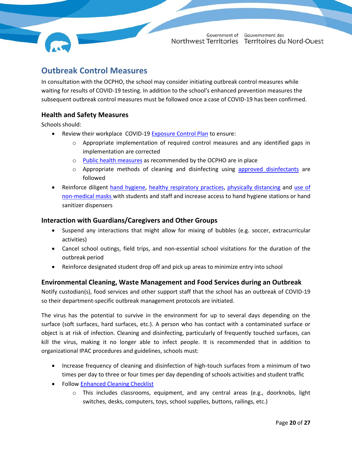#### <span id="page-19-0"></span>**Outbreak Control Measures**

In consultation with the OCPHO, the school may consider initiating outbreak control measures while waiting for results of COVID-19 testing. In addition to the school's enhanced prevention measures the subsequent outbreak control measures must be followed once a case of COVID-19 has been confirmed.

#### <span id="page-19-1"></span>**Health and Safety Measures**

Schools should:

- Review their workplace COVID-19 [Exposure Control Plan](https://www.wscc.nt.ca/sites/default/files/documents/Exposure%20Control%20Plan%20Guide-May%202020-Eng.pdf.pdf) to ensure:
	- $\circ$  Appropriate implementation of required control measures and any identified gaps in implementation are corrected
	- o [Public health measures](https://www.gov.nt.ca/covid-19/sites/covid/files/resources/updated_ocpho_backgrounder_-_covid_and_children_june_30_2020.pdf) as recommended by the OCPHO are in place
	- $\circ$  Appropriate methods of cleaning and disinfecting using approved [disinfectants](https://www.gov.nt.ca/covid-19/sites/covid/files/resources/enhanced-cleaning-checklist_0.pdf) are followed
- Reinforce diligent [hand hygiene,](https://www.gov.nt.ca/covid-19/en/services/prevention/wash-your-hands) [healthy respiratory practices,](https://www.gov.nt.ca/covid-19/node/431) [physically distancing](https://www.gov.nt.ca/covid-19/en/services/social-distancing) and [use of](https://www.gov.nt.ca/covid-19/en/services/prevention/non-medical-masks)  [non-medical masks w](https://www.gov.nt.ca/covid-19/en/services/prevention/non-medical-masks)ith students and staff and increase access to hand hygiene stations or hand sanitizer dispensers

#### <span id="page-19-2"></span>**Interaction with Guardians/Caregivers and Other Groups**

- Suspend any interactions that might allow for mixing of bubbles (e.g. soccer, extracurricular activities)
- Cancel school outings, field trips, and non-essential school visitations for the duration of the outbreak period
- Reinforce designated student drop off and pick up areas to minimize entry into school

#### <span id="page-19-3"></span>**Environmental Cleaning, Waste Management and Food Services during an Outbreak**

Notify custodian(s), food services and other support staff that the school has an outbreak of COVID-19 so their department-specific outbreak management protocols are initiated.

The virus has the potential to survive in the environment for up to several days depending on the surface (soft surfaces, hard surfaces, etc.). A person who has contact with a contaminated surface or object is at risk of infection. Cleaning and disinfecting, particularly of frequently touched surfaces, can kill the virus, making it no longer able to infect people. It is recommended that in addition to organizational IPAC procedures and guidelines, schools must:

- Increase frequency of cleaning and disinfection of high-touch surfaces from a minimum of two times per day to three or four times per day depending of schools activities and student traffic
- Follow [Enhanced Cleaning Checklist](https://www.gov.nt.ca/covid-19/sites/covid/files/resources/enhanced-cleaning-checklist_0.pdf)
	- $\circ$  This includes classrooms, equipment, and any central areas (e.g., doorknobs, light switches, desks, computers, toys, school supplies, buttons, railings, etc.)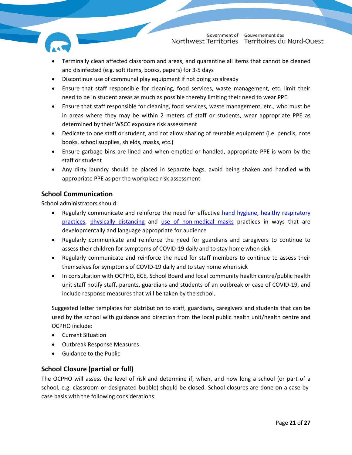

- Terminally clean affected classroom and areas, and quarantine all items that cannot be cleaned and disinfected (e.g. soft items, books, papers) for 3-5 days
- Discontinue use of communal play equipment if not doing so already
- Ensure that staff responsible for cleaning, food services, waste management, etc. limit their need to be in student areas as much as possible thereby limiting their need to wear PPE
- Ensure that staff responsible for cleaning, food services, waste management, etc., who must be in areas where they may be within 2 meters of staff or students, wear appropriate PPE as determined by their WSCC exposure risk assessment
- Dedicate to one staff or student, and not allow sharing of reusable equipment (i.e. pencils, note books, school supplies, shields, masks, etc.)
- Ensure garbage bins are lined and when emptied or handled, appropriate PPE is worn by the staff or student
- Any dirty laundry should be placed in separate bags, avoid being shaken and handled with appropriate PPE as per the workplace risk assessment

#### <span id="page-20-0"></span>**School Communication**

School administrators should:

- Regularly communicate and reinforce the need for effective [hand hygiene,](https://www.gov.nt.ca/covid-19/en/services/prevention/wash-your-hands) [healthy respiratory](https://www.gov.nt.ca/covid-19/node/431)  [practices,](https://www.gov.nt.ca/covid-19/node/431) [physically distancing](https://www.gov.nt.ca/covid-19/en/services/social-distancing) and [use of non-medical masks](https://www.gov.nt.ca/covid-19/en/services/prevention/non-medical-masks) practices in ways that are developmentally and language appropriate for audience
- Regularly communicate and reinforce the need for guardians and caregivers to continue to assess their children for symptoms of COVID-19 daily and to stay home when sick
- Regularly communicate and reinforce the need for staff members to continue to assess their themselves for symptoms of COVID-19 daily and to stay home when sick
- In consultation with OCPHO, ECE, School Board and local community health centre/public health unit staff notify staff, parents, guardians and students of an outbreak or case of COVID-19, and include response measures that will be taken by the school.

Suggested letter templates for distribution to staff, guardians, caregivers and students that can be used by the school with guidance and direction from the local public health unit/health centre and OCPHO include:

- Current Situation
- Outbreak Response Measures
- Guidance to the Public

#### <span id="page-20-1"></span>**School Closure (partial or full)**

The OCPHO will assess the level of risk and determine if, when, and how long a school (or part of a school, e.g. classroom or designated bubble) should be closed. School closures are done on a case-bycase basis with the following considerations: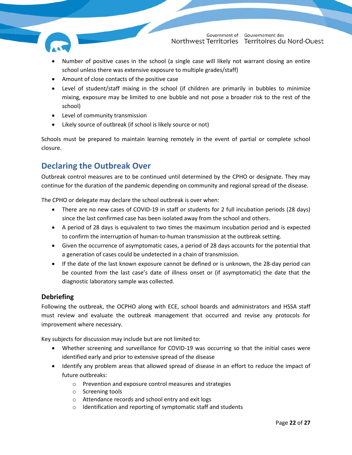

- Number of positive cases in the school (a single case will likely not warrant closing an entire school unless there was extensive exposure to multiple grades/staff)
- Amount of close contacts of the positive case
- Level of student/staff mixing in the school (if children are primarily in bubbles to minimize mixing, exposure may be limited to one bubble and not pose a broader risk to the rest of the school)
- Level of community transmission
- Likely source of outbreak (if school is likely source or not)

Schools must be prepared to maintain learning remotely in the event of partial or complete school closure.

#### <span id="page-21-0"></span>**Declaring the Outbreak Over**

Outbreak control measures are to be continued until determined by the CPHO or designate. They may continue for the duration of the pandemic depending on community and regional spread of the disease.

The CPHO or delegate may declare the school outbreak is over when:

- There are no new cases of COVID-19 in staff or students for 2 full incubation periods (28 days) since the last confirmed case has been isolated away from the school and others.
- A period of 28 days is equivalent to two times the maximum incubation period and is expected to confirm the interruption of human-to-human transmission at the outbreak setting.
- Given the occurrence of asymptomatic cases, a period of 28 days accounts for the potential that a generation of cases could be undetected in a chain of transmission.
- If the date of the last known exposure cannot be defined or is unknown, the 28-day period can be counted from the last case's date of illness onset or (if asymptomatic) the date that the diagnostic laboratory sample was collected.

#### <span id="page-21-1"></span>**Debriefing**

Following the outbreak, the OCPHO along with ECE, school boards and administrators and HSSA staff must review and evaluate the outbreak management that occurred and revise any protocols for improvement where necessary.

Key subjects for discussion may include but are not limited to:

- Whether screening and surveillance for COVID-19 was occurring so that the initial cases were identified early and prior to extensive spread of the disease
- Identify any problem areas that allowed spread of disease in an effort to reduce the impact of future outbreaks:
	- o Prevention and exposure control measures and strategies
	- o Screening tools
	- o Attendance records and school entry and exit logs
	- o Identification and reporting of symptomatic staff and students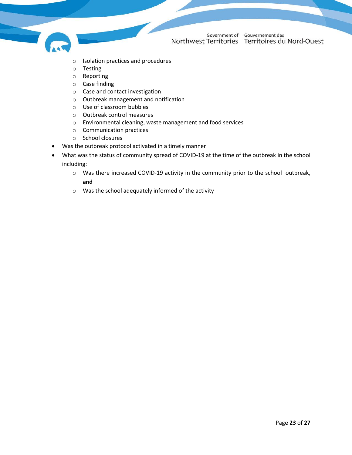

- o Isolation practices and procedures
- o Testing
- o Reporting
- o Case finding
- o Case and contact investigation
- o Outbreak management and notification
- o Use of classroom bubbles
- o Outbreak control measures
- o Environmental cleaning, waste management and food services
- o Communication practices
- o School closures
- Was the outbreak protocol activated in a timely manner
- What was the status of community spread of COVID-19 at the time of the outbreak in the school including:
	- o Was there increased COVID-19 activity in the community prior to the school outbreak, **and**
	- o Was the school adequately informed of the activity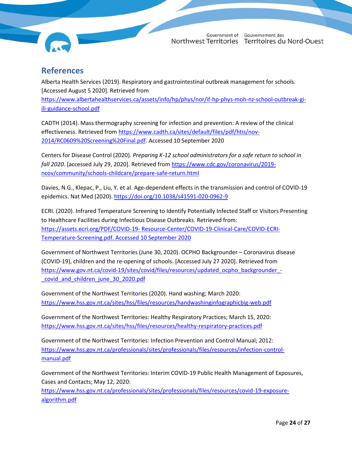

#### <span id="page-23-0"></span>**References**

Alberta Health Services (2019). Respiratory and gastrointestinal outbreak management for schools. [Accessed August 5 2020]. Retrieved from [https://www.albertahealthservices.ca/assets/info/hp/phys/nor/if-hp-phys-moh-nz-school-outbreak-gi](https://www.albertahealthservices.ca/assets/info/hp/phys/nor/if-hp-phys-moh-nz-school-outbreak-gi-ili-guidance-school.pdf)[ili-guidance-school.pdf](https://www.albertahealthservices.ca/assets/info/hp/phys/nor/if-hp-phys-moh-nz-school-outbreak-gi-ili-guidance-school.pdf)

CADTH (2014). Mass thermography screening for infection and prevention: A review of the clinical effectiveness. Retrieved from [https://www.cadth.ca/sites/default/files/pdf/htis/nov-](https://www.cadth.ca/sites/default/files/pdf/htis/nov-2014/RC0609%20Screening%20Final.pdf)[2014/RC0609%20Screening%20Final.pdf.](https://www.cadth.ca/sites/default/files/pdf/htis/nov-2014/RC0609%20Screening%20Final.pdf) Accessed 10 September 2020

Centers for Disease Control (2020). *Preparing K-12 school administrators for a safe return to school in fall 2020.* [accessed July 29, 2020]. Retrieved fro[m https://www.cdc.gov/coronavirus/2019](https://www.cdc.gov/coronavirus/2019-ncov/community/schools-childcare/prepare-safe-return.html) [ncov/community/schools-childcare/prepare-safe-return.html](https://www.cdc.gov/coronavirus/2019-ncov/community/schools-childcare/prepare-safe-return.html)

Davies, N.G., Klepac, P., Liu, Y. et al. Age-dependent effects in the transmission and control of COVID-19 epidemics. Nat Med (2020).<https://doi.org/10.1038/s41591-020-0962-9>

ECRI. (2020). Infrared Temperature Screening to Identify Potentially Infected Staff or Visitors Presenting to Healthcare Facilities during Infectious Disease Outbreaks. Retrieved from: https://assets.ecri.org/PDF/COVID-19- [Resource-Center/COVID-19-Clinical-Care/COVID-ECRI-](https://assets.ecri.org/PDF/COVID-19-%20Resource-Center/COVID-19-Clinical-Care/COVID-ECRI-Temperature-Screening.pdf.%20Accessed%2010%20September%202020)[Temperature-Screening.pdf. Accessed 10 September 2020](https://assets.ecri.org/PDF/COVID-19-%20Resource-Center/COVID-19-Clinical-Care/COVID-ECRI-Temperature-Screening.pdf.%20Accessed%2010%20September%202020)

Government of Northwest Territories (June 30, 2020). OCPHO Backgrounder – Coronavirus disease (COVID-19), children and the re-opening of schools. [Accessed July 27 2020]. Retrieved from [https://www.gov.nt.ca/covid-19/sites/covid/files/resources/updated\\_ocpho\\_backgrounder\\_](https://www.gov.nt.ca/covid-19/sites/covid/files/resources/updated_ocpho_backgrounder_-_covid_and_children_june_30_2020.pdf) covid and children june 30 2020.pdf

Government of the Northwest Territories (2020). Hand washing; March 2020: <https://www.hss.gov.nt.ca/sites/hss/files/resources/handwashinginfographicbig-web.pdf>

Government of the Northwest Territories: Healthy Respiratory Practices; March 15, 2020: <https://www.hss.gov.nt.ca/sites/hss/files/resources/healthy-respiratory-practices.pdf>

Government of the Northwest Territories: Infection Prevention and Control Manual; 2012: [https://www.hss.gov.nt.ca/professionals/sites/professionals/files/resources/infection-control](https://www.hss.gov.nt.ca/professionals/sites/professionals/files/resources/infection-control-manual.pdf)[manual.pdf](https://www.hss.gov.nt.ca/professionals/sites/professionals/files/resources/infection-control-manual.pdf)

Government of the Northwest Territories: Interim COVID-19 Public Health Management of Exposures, Cases and Contacts; May 12, 2020:

[https://www.hss.gov.nt.ca/professionals/sites/professionals/files/resources/covid-19-exposure](https://www.hss.gov.nt.ca/professionals/sites/professionals/files/resources/covid-19-exposure-algorithm.pdf)[algorithm.pdf](https://www.hss.gov.nt.ca/professionals/sites/professionals/files/resources/covid-19-exposure-algorithm.pdf)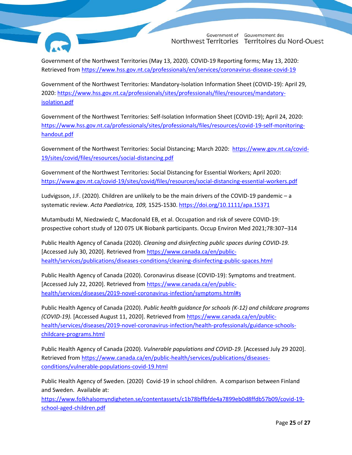

Gouvernement des Government of Northwest Territories Territoires du Nord-Ouest

Government of the Northwest Territories (May 13, 2020). COVID-19 Reporting forms; May 13, 2020: Retrieved from<https://www.hss.gov.nt.ca/professionals/en/services/coronavirus-disease-covid-19>

Government of the Northwest Territories: Mandatory-Isolation Information Sheet (COVID-19): April 29, 2020[: https://www.hss.gov.nt.ca/professionals/sites/professionals/files/resources/mandatory](https://www.hss.gov.nt.ca/professionals/sites/professionals/files/resources/mandatory-isolation.pdf)[isolation.pdf](https://www.hss.gov.nt.ca/professionals/sites/professionals/files/resources/mandatory-isolation.pdf)

Government of the Northwest Territories: Self-Isolation Information Sheet (COVID-19); April 24, 2020: [https://www.hss.gov.nt.ca/professionals/sites/professionals/files/resources/covid-19-self-monitoring](https://www.hss.gov.nt.ca/professionals/sites/professionals/files/resources/covid-19-self-monitoring-handout.pdf)[handout.pdf](https://www.hss.gov.nt.ca/professionals/sites/professionals/files/resources/covid-19-self-monitoring-handout.pdf)

Government of the Northwest Territories: Social Distancing; March 2020: [https://www.gov.nt.ca/covid-](https://www.gov.nt.ca/covid-19/sites/covid/files/resources/social-distancing.pdf)[19/sites/covid/files/resources/social-distancing.pdf](https://www.gov.nt.ca/covid-19/sites/covid/files/resources/social-distancing.pdf)

Government of the Northwest Territories: Social Distancing for Essential Workers; April 2020: <https://www.gov.nt.ca/covid-19/sites/covid/files/resources/social-distancing-essential-workers.pdf>

Ludvigsson, J.F. (2020). Children are unlikely to be the main drivers of the COVID-19 pandemic – a systematic review. *Acta Paediatrica, 109,* 1525-1530[. https://doi.org/10.1111/apa.15371](https://doi.org/10.1111/apa.15371)

Mutambudzi M, Niedzwiedz C, Macdonald EB, et al. Occupation and risk of severe COVID-19: prospective cohort study of 120 075 UK Biobank participants. Occup Environ Med 2021;78:307–314

Public Health Agency of Canada (2020). *Cleaning and disinfecting public spaces during COVID-19.*  [Accessed July 30, 2020]. Retrieved from [https://www.canada.ca/en/public](https://www.canada.ca/en/public-health/services/publications/diseases-conditions/cleaning-disinfecting-public-spaces.html)[health/services/publications/diseases-conditions/cleaning-disinfecting-public-spaces.html](https://www.canada.ca/en/public-health/services/publications/diseases-conditions/cleaning-disinfecting-public-spaces.html)

Public Health Agency of Canada (2020). Coronavirus disease (COVID-19): Symptoms and treatment. [Accessed July 22, 2020]. Retrieved from [https://www.canada.ca/en/public](https://www.canada.ca/en/public-health/services/diseases/2019-novel-coronavirus-infection/symptoms.html#s)[health/services/diseases/2019-novel-coronavirus-infection/symptoms.html#s](https://www.canada.ca/en/public-health/services/diseases/2019-novel-coronavirus-infection/symptoms.html#s)

Public Health Agency of Canada (2020). *Public health guidance for schools (K-12) and childcare programs (COVID-19).* [Accessed August 11, 2020]. Retrieved from [https://www.canada.ca/en/public](https://www.canada.ca/en/public-health/services/diseases/2019-novel-coronavirus-infection/health-professionals/guidance-schools-childcare-programs.html)[health/services/diseases/2019-novel-coronavirus-infection/health-professionals/guidance-schools](https://www.canada.ca/en/public-health/services/diseases/2019-novel-coronavirus-infection/health-professionals/guidance-schools-childcare-programs.html)[childcare-programs.html](https://www.canada.ca/en/public-health/services/diseases/2019-novel-coronavirus-infection/health-professionals/guidance-schools-childcare-programs.html)

Public Health Agency of Canada (2020). *Vulnerable populations and COVID-19.* [Accessed July 29 2020]. Retrieved from [https://www.canada.ca/en/public-health/services/publications/diseases](https://www.canada.ca/en/public-health/services/publications/diseases-conditions/vulnerable-populations-covid-19.html)[conditions/vulnerable-populations-covid-19.html](https://www.canada.ca/en/public-health/services/publications/diseases-conditions/vulnerable-populations-covid-19.html)

Public Health Agency of Sweden. (2020) Covid-19 in school children. A comparison between Finland and Sweden. Available at:

[https://www.folkhalsomyndigheten.se/contentassets/c1b78bffbfde4a7899eb0d8ffdb57b09/covid-19](https://www.folkhalsomyndigheten.se/contentassets/c1b78bffbfde4a7899eb0d8ffdb57b09/covid-19-school-aged-children.pdf) [school-aged-children.pdf](https://www.folkhalsomyndigheten.se/contentassets/c1b78bffbfde4a7899eb0d8ffdb57b09/covid-19-school-aged-children.pdf)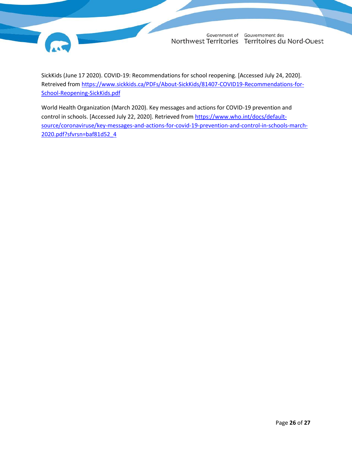

SickKids (June 17 2020). COVID-19: Recommendations for school reopening. [Accessed July 24, 2020]. Retreived from [https://www.sickkids.ca/PDFs/About-SickKids/81407-COVID19-Recommendations-for-](https://www.sickkids.ca/PDFs/About-SickKids/81407-COVID19-Recommendations-for-School-Reopening-SickKids.pdf)[School-Reopening-SickKids.pdf](https://www.sickkids.ca/PDFs/About-SickKids/81407-COVID19-Recommendations-for-School-Reopening-SickKids.pdf)

World Health Organization (March 2020). Key messages and actions for COVID-19 prevention and control in schools. [Accessed July 22, 2020]. Retrieved from [https://www.who.int/docs/default](https://www.who.int/docs/default-source/coronaviruse/key-messages-and-actions-for-covid-19-prevention-and-control-in-schools-march-2020.pdf?sfvrsn=baf81d52_4)[source/coronaviruse/key-messages-and-actions-for-covid-19-prevention-and-control-in-schools-march-](https://www.who.int/docs/default-source/coronaviruse/key-messages-and-actions-for-covid-19-prevention-and-control-in-schools-march-2020.pdf?sfvrsn=baf81d52_4)[2020.pdf?sfvrsn=baf81d52\\_4](https://www.who.int/docs/default-source/coronaviruse/key-messages-and-actions-for-covid-19-prevention-and-control-in-schools-march-2020.pdf?sfvrsn=baf81d52_4)